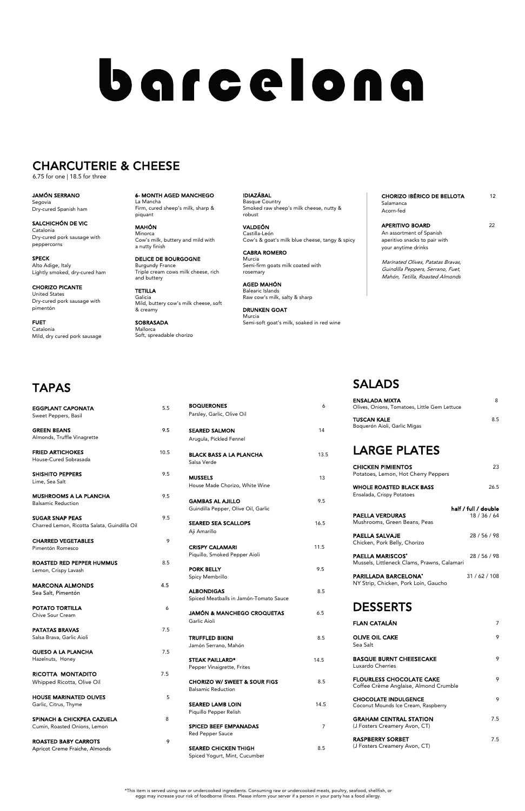| <b>BOQUERONES</b>                             | 6    |
|-----------------------------------------------|------|
| Parsley, Garlic, Olive Oil                    |      |
| <b>SEARED SALMON</b>                          | 14   |
| Arugula, Pickled Fennel                       |      |
| <b>BLACK BASS A LA PLANCHA</b><br>Salsa Verde | 13.5 |
| <b>MUSSELS</b>                                | 1.3  |
| House Made Chorizo, White Wine                |      |
| <b>GAMBAS AL AJILLO</b>                       | 9.5  |
| Guindilla Pepper, Olive Oil, Garlic           |      |
| <b>SEARED SEA SCALLOPS</b>                    | 16.5 |
| Aji Amarillo                                  |      |
| <b>CRISPY CALAMARI</b>                        | 11.5 |
| Piquillo, Smoked Pepper Aioli                 |      |
| <b>PORK BELLY</b>                             | 9.5  |
| Spicy Membrillo                               |      |
| ALBONDIGAS                                    | 8.5  |

JAMÓN & MANCHEGO CROQUETAS 6.5 Garlic Aioli

TRUFFLED BIKINI 8.5 Jamón Serrano, Mahón

STEAK PAILLARD\* 14.5 Pepper Vinaigrette, Frites

CHORIZO W/ SWEET & SOUR FIGS 8.5 Balsamic Reduction

SEARED LAMB LOIN 14.5 Piquillo Pepper Relish

SPICED BEEF EMPANADAS 7 Red Pepper Sauce

SEARED CHICKEN THIGH 8.5 Spiced Yogurt, Mint, Cucumber

Spiced Meatballs in Jamón-Tomato Sauce

POTATO TORTILLA 6 Chive Sour Cream **PATATAS BRAVAS** 7.5 Salsa Brava, Garlic Aioli QUESO A LA PLANCHA 7.5 Hazelnuts, Honey RICOTTA MONTADITO 7.5 Whipped Ricotta, Olive Oil HOUSE MARINATED OLIVES **5** Garlic, Citrus, Thyme SPINACH & CHICKPEA CAZUELA 8 Cumin, Roasted Onions, Lemon

ROASTED BABY CARROTS 9 Apricot Creme Fraiche, Almonds

# TAPAS

**PAELLA SALVAJE** 28 / 56 / 98 Chicken, Pork Belly, Chorizo

| <b>EGGPLANT CAPONATA</b><br>Sweet Peppers, Basil                       | 5.5  |
|------------------------------------------------------------------------|------|
| <b>GREEN BEANS</b><br>Almonds, Truffle Vinagrette                      | 9.5  |
| <b>FRIED ARTICHOKES</b><br>House-Cured Sobrasada                       | 10.5 |
| <b>SHISHITO PEPPERS</b><br>Lime, Sea Salt                              | 9.5  |
| <b>MUSHROOMS A LA PLANCHA</b><br><b>Balsamic Reduction</b>             | 9.5  |
| <b>SUGAR SNAP PEAS</b><br>Charred Lemon, Ricotta Salata, Guindilla Oil | 9.5  |
| <b>CHARRED VEGETABLES</b><br>Pimentón Romesco                          | 9    |
| <b>ROASTED RED PEPPER HUMMUS</b><br>Lemon, Crispy Lavash               | 8.5  |
| <b>MARCONA ALMONDS</b><br>Sea Salt, Pimentón                           | 4.5  |

PARILLADA BARCELONA<sup>\*</sup> 31 / 62 / 108 NY Strip, Chicken, Pork Loin, Gaucho

**SOBRASADA** Mallorca Soft, spreadable chorizo

# SALADS

### CHORIZO IBÉRICO DE BELLOTA 12 Salamanca Acorn-fed

APERITIVO BOARD 22 An assortment of Spanish aperitivo snacks to pair with your anytime drinks

| <b>ENSALADA MIXTA</b><br>Olives, Onions, Tomatoes, Little Gem Lettuce | 8                                    |
|-----------------------------------------------------------------------|--------------------------------------|
| <b>TUSCAN KALE</b><br>Boquerón Aioli, Garlic Migas                    | 8.5                                  |
| <b>LARGE PLATES</b>                                                   |                                      |
| <b>CHICKEN PIMIENTOS</b><br>Potatoes, Lemon, Hot Cherry Peppers       | 23                                   |
| <b>WHOLE ROASTED BLACK BASS</b><br>Ensalada, Crispy Potatoes          | 26.5                                 |
| <b>PAELLA VERDURAS</b><br>Mushrooms, Green Beans, Peas                | half / full / double<br>18 / 36 / 64 |

PAELLA MARISCOS\* 28 / 56 / 98 Mussels, Littleneck Clams, Prawns, Calamari

# DESSERTS

| FLAN CATALÁN                                                             | 7   |
|--------------------------------------------------------------------------|-----|
| <b>OLIVE OIL CAKE</b><br>Sea Salt                                        | 9   |
| <b>BASQUE BURNT CHEESECAKE</b><br>Luxardo Cherries                       | 9   |
| <b>FLOURLESS CHOCOLATE CAKE</b><br>Coffee Crème Anglaise, Almond Crumble | 9   |
| <b>CHOCOLATE INDULGENCE</b><br>Coconut Mounds Ice Cream, Raspberry       | 9   |
| <b>GRAHAM CENTRAL STATION</b><br>(J Fosters Creamery Avon, CT)           | 7.5 |
| <b>RASPBERRY SORBET</b><br>(J Fosters Creamery Avon, CT)                 | 7.5 |
|                                                                          |     |

6- MONTH AGED MANCHEGO La Mancha Firm, cured sheep's milk, sharp &

piquant

MAHÓN Minorca Cow's milk, buttery and mild with a nutty finish

DELICE DE BOURGOGNE Burgundy France Triple cream cows milk cheese, rich and buttery

TETILLA Galicia Mild, buttery cow's milk cheese, soft & creamy

IDIAZÁBAL Basque Country Smoked raw sheep's milk cheese, nutty & robust

VALDEÓN Castilla-León Cow's & goat's milk blue cheese, tangy & spicy

CABRA ROMERO Murcia Semi-firm goats milk coated with rosemary

AGED MAHÓN Balearic Islands Raw cow's milk, salty & sharp

DRUNKEN GOAT Murcia Semi-soft goat's milk, soaked in red wine Marinated Olives, Patatas Bravas, Guindilla Peppers, Serrano, Fuet, Mahón, Tetilla, Roasted Almonds

JAMÓN SERRANO Segovia Dry-cured Spanish ham

SALCHICHÓN DE VIC Catalonia Dry-cured pork sausage with peppercorns

SPECK Alto Adige, Italy Lightly smoked, dry-cured ham

CHORIZO PICANTE United States Dry-cured pork sausage with pimentón

FUET Catalonia Mild, dry cured pork sausage

# barcelona

# CHARCUTERIE & CHEESE

6.75 for one | 18.5 for three

\*This item is served using raw or undercooked ingredients. Consuming raw or undercooked meats, poultry, seafood, shellfish, or eggs may increase your risk of foodborne illness. Please inform your server if a person in your party has a food allergy.